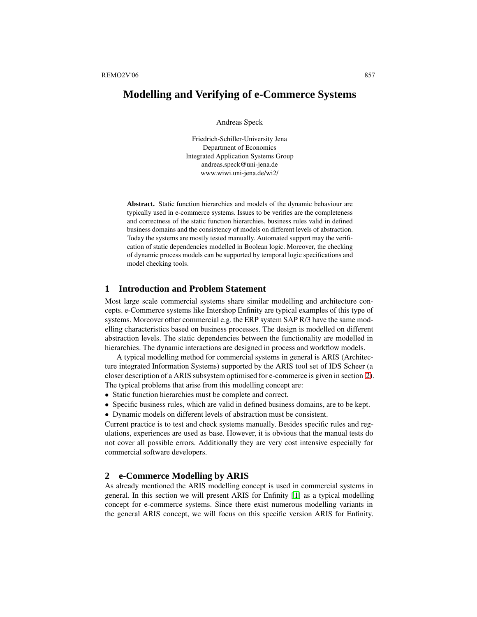# **Modelling and Verifying of e-Commerce Systems**

Andreas Speck

Friedrich-Schiller-University Jena Department of Economics Integrated Application Systems Group andreas.speck@uni-jena.de www.wiwi.uni-jena.de/wi2/

**Abstract.** Static function hierarchies and models of the dynamic behaviour are typically used in e-commerce systems. Issues to be verifies are the completeness and correctness of the static function hierarchies, business rules valid in defined business domains and the consistency of models on different levels of abstraction. Today the systems are mostly tested manually. Automated support may the verification of static dependencies modelled in Boolean logic. Moreover, the checking of dynamic process models can be supported by temporal logic specifications and model checking tools.

# **1 Introduction and Problem Statement**

Most large scale commercial systems share similar modelling and architecture concepts. e-Commerce systems like Intershop Enfinity are typical examples of this type of systems. Moreover other commercial e.g. the ERP system SAP R/3 have the same modelling characteristics based on business processes. The design is modelled on different abstraction levels. The static dependencies between the functionality are modelled in hierarchies. The dynamic interactions are designed in process and workflow models.

A typical modelling method for commercial systems in general is ARIS (Architecture integrated Information Systems) supported by the ARIS tool set of IDS Scheer (a closer description of a ARIS subsystem optimised for e-commerce is given in section [2\)](#page-0-0). The typical problems that arise from this modelling concept are:

- Static function hierarchies must be complete and correct.
- Specific business rules, which are valid in defined business domains, are to be kept.
- Dynamic models on different levels of abstraction must be consistent.

Current practice is to test and check systems manually. Besides specific rules and regulations, experiences are used as base. However, it is obvious that the manual tests do not cover all possible errors. Additionally they are very cost intensive especially for commercial software developers.

### <span id="page-0-0"></span>**2 e-Commerce Modelling by ARIS**

As already mentioned the ARIS modelling concept is used in commercial systems in general. In this section we will present ARIS for Enfinity [\[1\]](#page-6-0) as a typical modelling concept for e-commerce systems. Since there exist numerous modelling variants in the general ARIS concept, we will focus on this specific version ARIS for Enfinity.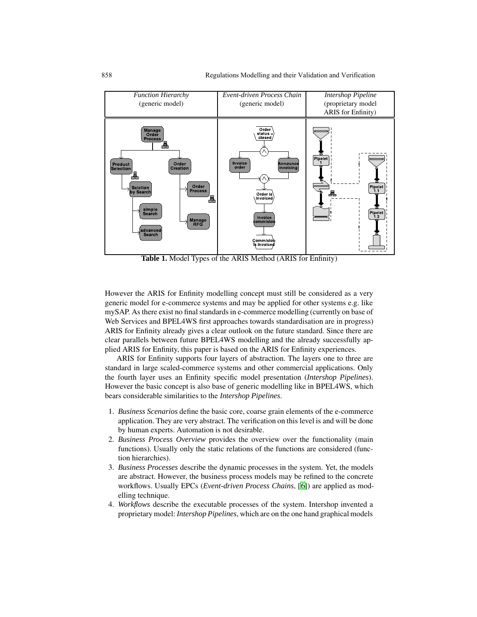

<span id="page-1-0"></span>**Table 1.** Model Types of the ARIS Method (ARIS for Enfinity)

However the ARIS for Enfinity modelling concept must still be considered as a very generic model for e-commerce systems and may be applied for other systems e.g. like mySAP. As there exist no final standards in e-commerce modelling (currently on base of Web Services and BPEL4WS first approaches towards standardisation are in progress) ARIS for Enfinity already gives a clear outlook on the future standard. Since there are clear parallels between future BPEL4WS modelling and the already successfully applied ARIS for Enfinity, this paper is based on the ARIS for Enfinity experiences.

ARIS for Enfinity supports four layers of abstraction. The layers one to three are standard in large scaled-commerce systems and other commercial applications. Only the fourth layer uses an Enfinity specific model presentation (*Intershop Pipelines*). However the basic concept is also base of generic modelling like in BPEL4WS, which bears considerable similarities to the *Intershop Pipelines*.

- 1. *Business Scenarios* define the basic core, coarse grain elements of the e-commerce application. They are very abstract. The verification on this level is and will be done by human experts. Automation is not desirable.
- 2. *Business Process Overview* provides the overview over the functionality (main functions). Usually only the static relations of the functions are considered (function hierarchies).
- 3. *Business Processes* describe the dynamic processes in the system. Yet, the models are abstract. However, the business process models may be refined to the concrete workflows. Usually EPCs (*Event-driven Process Chains*, [[6\]](#page-6-1)) are applied as modelling technique.
- 4. *Workflows* describe the executable processes of the system. Intershop invented a proprietary model: *Intershop Pipelines*, which are on the one hand graphical models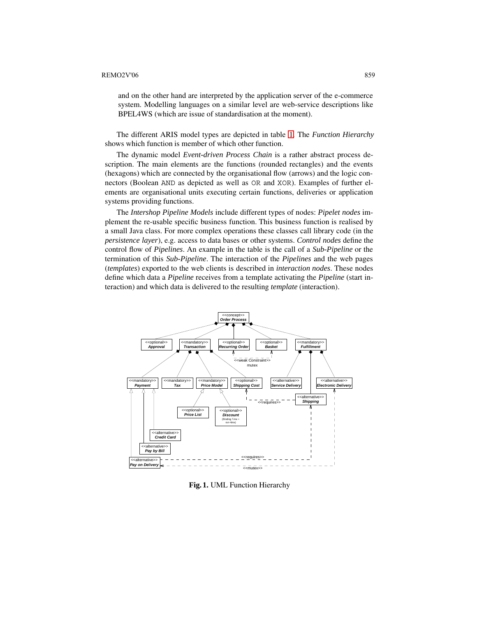#### REMO2V'06 859

and on the other hand are interpreted by the application server of the e-commerce system. Modelling languages on a similar level are web-service descriptions like BPEL4WS (which are issue of standardisation at the moment).

The different ARIS model types are depicted in table [1.](#page-1-0) The *Function Hierarchy* shows which function is member of which other function.

The dynamic model *Event-driven Process Chain* is a rather abstract process description. The main elements are the functions (rounded rectangles) and the events (hexagons) which are connected by the organisational flow (arrows) and the logic connectors (Boolean AND as depicted as well as OR and XOR). Examples of further elements are organisational units executing certain functions, deliveries or application systems providing functions.

The *Intershop Pipeline Models* include different types of nodes: *Pipelet nodes* implement the re-usable specific business function. This business function is realised by a small Java class. For more complex operations these classes call library code (in the *persistence layer*), e.g. access to data bases or other systems. *Control nodes* define the control flow of *Pipelines*. An example in the table is the call of a *Sub-Pipeline* or the termination of this *Sub-Pipeline*. The interaction of the *Pipelines* and the web pages (*templates*) exported to the web clients is described in *interaction nodes*. These nodes define which data a *Pipeline* receives from a template activating the *Pipeline* (start interaction) and which data is delivered to the resulting *template* (interaction).



**Fig. 1.** UML Function Hierarchy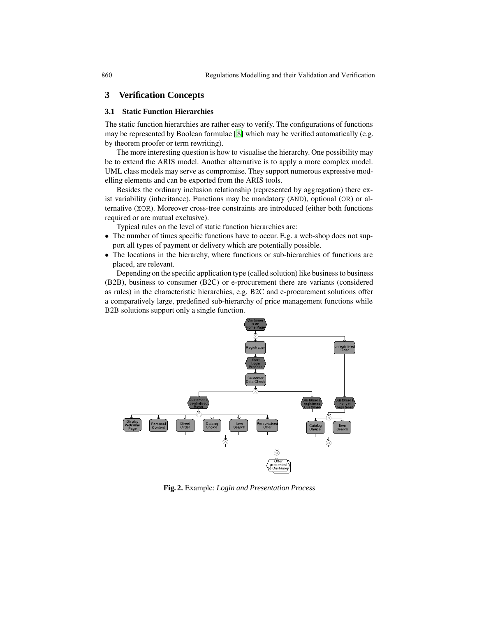## **3 Verification Concepts**

### **3.1 Static Function Hierarchies**

The static function hierarchies are rather easy to verify. The configurations of functions may be represented by Boolean formulae [\[8\]](#page-6-2) which may be verified automatically (e.g. by theorem proofer or term rewriting).

The more interesting question is how to visualise the hierarchy. One possibility may be to extend the ARIS model. Another alternative is to apply a more complex model. UML class models may serve as compromise. They support numerous expressive modelling elements and can be exported from the ARIS tools.

Besides the ordinary inclusion relationship (represented by aggregation) there exist variability (inheritance). Functions may be mandatory (AND), optional (OR) or alternative (XOR). Moreover cross-tree constraints are introduced (either both functions required or are mutual exclusive).

Typical rules on the level of static function hierarchies are:

- The number of times specific functions have to occur. E.g. a web-shop does not support all types of payment or delivery which are potentially possible.
- The locations in the hierarchy, where functions or sub-hierarchies of functions are placed, are relevant.

Depending on the specific application type (called solution) like business to business (B2B), business to consumer (B2C) or e-procurement there are variants (considered as rules) in the characteristic hierarchies, e.g. B2C and e-procurement solutions offer a comparatively large, predefined sub-hierarchy of price management functions while B2B solutions support only a single function.



<span id="page-3-0"></span>**Fig. 2.** Example: *Login and Presentation Process*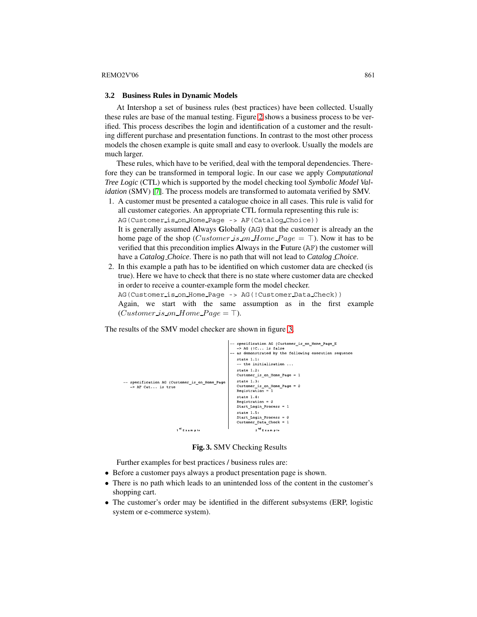#### <span id="page-4-1"></span> $REMO2V'06$  861

#### **3.2 Business Rules in Dynamic Models**

At Intershop a set of business rules (best practices) have been collected. Usually these rules are base of the manual testing. Figure [2](#page-3-0) shows a business process to be verified. This process describes the login and identification of a customer and the resulting different purchase and presentation functions. In contrast to the most other process models the chosen example is quite small and easy to overlook. Usually the models are much larger.

These rules, which have to be verified, deal with the temporal dependencies. Therefore they can be transformed in temporal logic. In our case we apply *Computational Tree Logic* (CTL) which is supported by the model checking tool *Symbolic Model Validation* (SMV) [\[7\]](#page-6-3). The process models are transformed to automata verified by SMV.

1. A customer must be presented a catalogue choice in all cases. This rule is valid for all customer categories. An appropriate CTL formula representing this rule is: AG(Customer is on Home Page -> AF(Catalog Choice)) It is generally assumed **A**lways **G**lobally (AG) that the customer is already an the

home page of the shop (*Customer is on Home Page* =  $\top$ ). Now it has to be verified that this precondition implies **A**lways in the **F**uture (AF) the customer will have a *Catalog Choice*. There is no path that will not lead to *Catalog Choice*.

2. In this example a path has to be identified on which customer data are checked (is true). Here we have to check that there is no state where customer data are checked in order to receive a counter-example form the model checker. AG(Customer is on Home Page -> AG(!Customer Data Check)) Again, we start with the same assumption as in the first example  $(Customer_is\_on\_Home\_Page = \top).$ 

The results of the SMV model checker are shown in figure [3.](#page-4-0)



**Fig. 3.** SMV Checking Results

<span id="page-4-0"></span>Further examples for best practices / business rules are:

- Before a customer pays always a product presentation page is shown.
- There is no path which leads to an unintended loss of the content in the customer's shopping cart.
- The customer's order may be identified in the different subsystems (ERP, logistic system or e-commerce system).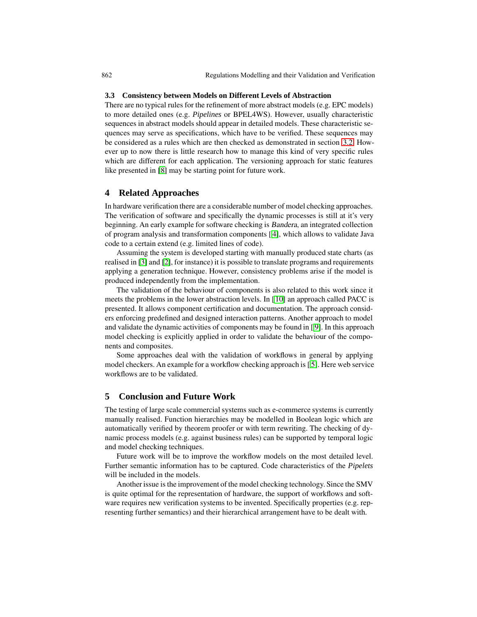#### **3.3 Consistency between Models on Different Levels of Abstraction**

There are no typical rules for the refinement of more abstract models (e.g. EPC models) to more detailed ones (e.g. *Pipelines* or BPEL4WS). However, usually characteristic sequences in abstract models should appear in detailed models. These characteristic sequences may serve as specifications, which have to be verified. These sequences may be considered as a rules which are then checked as demonstrated in section [3.2.](#page-4-1) However up to now there is little research how to manage this kind of very specific rules which are different for each application. The versioning approach for static features like presented in [\[8\]](#page-6-2) may be starting point for future work.

### **4 Related Approaches**

In hardware verification there are a considerable number of model checking approaches. The verification of software and specifically the dynamic processes is still at it's very beginning. An early example for software checking is Bandera, an integrated collection of program analysis and transformation components [ [4\]](#page-6-4), which allows to validate Java code to a certain extend (e.g. limited lines of code).

Assuming the system is developed starting with manually produced state charts (as realised in [\[3\]](#page-6-5) and [\[2\]](#page-6-6), for instance) it is possible to translate programs and requirements applying a generation technique. However, consistency problems arise if the model is produced independently from the implementation.

The validation of the behaviour of components is also related to this work since it meets the problems in the lower abstraction levels. In [\[10\]](#page-6-7) an approach called PACC is presented. It allows component certification and documentation. The approach considers enforcing predefined and designed interaction patterns. Another approach to model and validate the dynamic activities of components may be found in [ [9\]](#page-6-8). In this approach model checking is explicitly applied in order to validate the behaviour of the components and composites.

Some approaches deal with the validation of workflows in general by applying model checkers. An example for a workflow checking approach is [ [5\]](#page-6-9). Here web service workflows are to be validated.

### **5 Conclusion and Future Work**

The testing of large scale commercial systems such as e-commerce systems is currently manually realised. Function hierarchies may be modelled in Boolean logic which are automatically verified by theorem proofer or with term rewriting. The checking of dynamic process models (e.g. against business rules) can be supported by temporal logic and model checking techniques.

Future work will be to improve the workflow models on the most detailed level. Further semantic information has to be captured. Code characteristics of the *Pipelets* will be included in the models.

Another issue is the improvement of the model checking technology. Since the SMV is quite optimal for the representation of hardware, the support of workflows and software requires new verification systems to be invented. Specifically properties (e.g. representing further semantics) and their hierarchical arrangement have to be dealt with.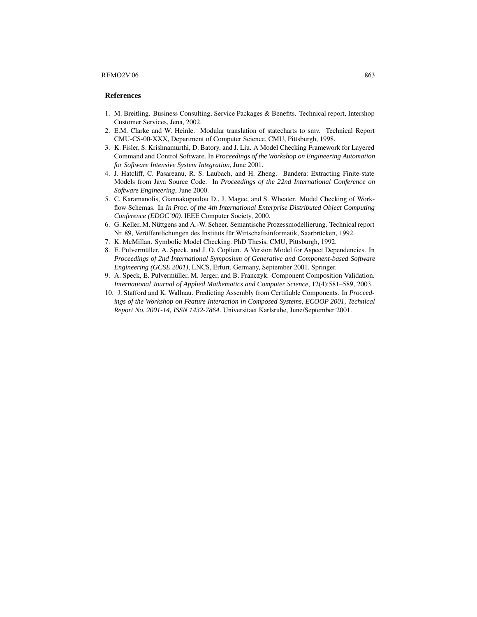#### $REMO2V'06$  863

### <span id="page-6-0"></span>**References**

- <span id="page-6-6"></span>1. M. Breitling. Business Consulting, Service Packages & Benefits. Technical report, Intershop Customer Services, Jena, 2002.
- <span id="page-6-5"></span>2. E.M. Clarke and W. Heinle. Modular translation of statecharts to smv. Technical Report CMU-CS-00-XXX, Department of Computer Science, CMU, Pittsburgh, 1998.
- 3. K. Fisler, S. Krishnamurthi, D. Batory, and J. Liu. A Model Checking Framework for Layered Command and Control Software. In *Proceedings of the Workshop on Engineering Automation for Software Intensive System Integration*, June 2001.
- <span id="page-6-4"></span>4. J. Hatcliff, C. Pasareanu, R. S. Laubach, and H. Zheng. Bandera: Extracting Finite-state Models from Java Source Code. In *Proceedings of the 22nd International Conference on Software Engineering*, June 2000.
- <span id="page-6-9"></span>5. C. Karamanolis, Giannakopoulou D., J. Magee, and S. Wheater. Model Checking of Workflow Schemas. In *In Proc. of the 4th International Enterprise Distributed Object Computing Conference (EDOC'00)*. IEEE Computer Society, 2000.
- <span id="page-6-1"></span>6. G. Keller, M. Nüttgens and A.-W. Scheer. Semantische Prozessmodellierung. Technical report Nr. 89, Veröffentlichungen des Instituts für Wirtschaftsinformatik, Saarbrücken, 1992.
- <span id="page-6-3"></span><span id="page-6-2"></span>7. K. McMillan. Symbolic Model Checking. PhD Thesis, CMU, Pittsburgh, 1992.
- 8. E. Pulvermüller, A. Speck, and J. O. Coplien. A Version Model for Aspect Dependencies. In *Proceedings of 2nd International Symposium of Generative and Component-based Software Engineering (GCSE 2001)*, LNCS, Erfurt, Germany, September 2001. Springer.
- <span id="page-6-8"></span>9. A. Speck, E. Pulvermüller, M. Jerger, and B. Franczyk. Component Composition Validation. *International Journal of Applied Mathematics and Computer Science*, 12(4):581–589, 2003.
- <span id="page-6-7"></span>10. J. Stafford and K. Wallnau. Predicting Assembly from Certifiable Components. In *Proceedings of the Workshop on Feature Interaction in Composed Systems, ECOOP 2001, Technical Report No. 2001-14, ISSN 1432-7864*. Universitaet Karlsruhe, June/September 2001.